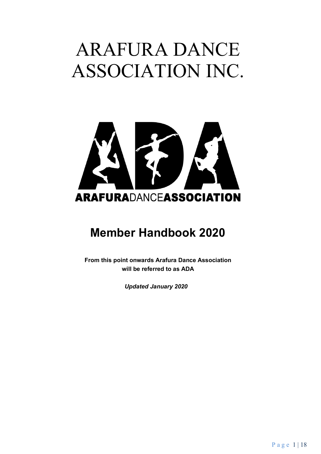# ARAFURA DANCE ASSOCIATION INC.



### **Member Handbook 2020**

**From this point onwards Arafura Dance Association will be referred to as ADA**

*Updated January 2020*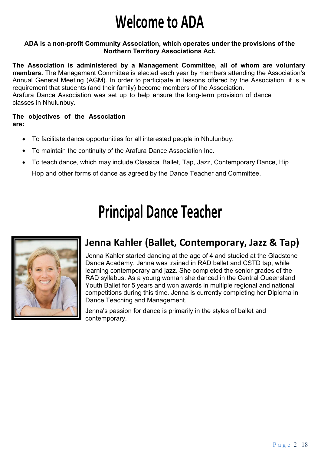## **Welcome to ADA**

#### **ADA is a non-profit Community Association, which operates under the provisions of the Northern Territory Associations Act.**

**The Association is administered by a Management Committee, all of whom are voluntary members.** The Management Committee is elected each year by members attending the Association's Annual General Meeting (AGM). In order to participate in lessons offered by the Association, it is a requirement that students (and their family) become members of the Association. Arafura Dance Association was set up to help ensure the long-term provision of dance classes in Nhulunbuy.

#### **The objectives of the Association are:**

- To facilitate dance opportunities for all interested people in Nhulunbuy.
- To maintain the continuity of the Arafura Dance Association Inc.
- To teach dance, which may include Classical Ballet, Tap, Jazz, Contemporary Dance, Hip Hop and other forms of dance as agreed by the Dance Teacher and Committee.

## **Principal Dance Teacher**



### **Jenna Kahler (Ballet, Contemporary, Jazz & Tap)**

Jenna Kahler started dancing at the age of 4 and studied at the Gladstone Dance Academy. Jenna was trained in RAD ballet and CSTD tap, while learning contemporary and jazz. She completed the senior grades of the RAD syllabus. As a young woman she danced in the Central Queensland Youth Ballet for 5 years and won awards in multiple regional and national competitions during this time. Jenna is currently completing her Diploma in Dance Teaching and Management.

Jenna's passion for dance is primarily in the styles of ballet and contemporary.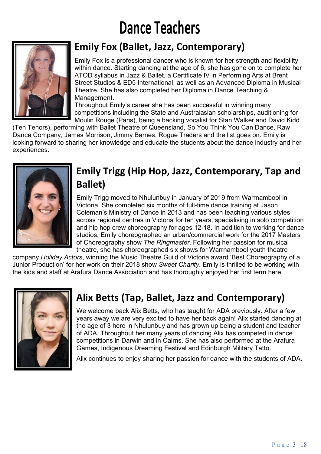## **Dance Teachers**



### **Emily Fox (Ballet, Jazz, Contemporary)**

Emily Fox is a professional dancer who is known for her strength and flexibility within dance. Starting dancing at the age of 6, she has gone on to complete her ATOD syllabus in Jazz & Ballet, a Certificate IV in Performing Arts at Brent Street Studios & ED5 International, as well as an Advanced Diploma in Musical Theatre. She has also completed her Diploma in Dance Teaching & Management.

Throughout Emily's career she has been successful in winning many competitions including the State and Australasian scholarships, auditioning for Moulin Rouge (Paris), being a backing vocalist for Stan Walker and David Kidd

(Ten Tenors), performing with Ballet Theatre of Queensland, So You Think You Can Dance, Raw Dance Company, James Morrison, Jimmy Barnes, Rogue Traders and the list goes on. Emily is looking forward to sharing her knowledge and educate the students about the dance industry and her experiences.



### **Emily Trigg (Hip Hop, Jazz, Contemporary, Tap and Ballet)**

Emily Trigg moved to Nhulunbuy in January of 2019 from Warrnambool in Victoria. She completed six months of full-time dance training at Jason Coleman's Ministry of Dance in 2013 and has been teaching various styles across regional centres in Victoria for ten years, specialising in solo competition and hip hop crew choreography for ages 12-18. In addition to working for dance studios, Emily choreographed an urban/commercial work for the 2017 Masters of Choreography show *The Ringmaster*. Following her passion for musical theatre, she has choreographed six shows for Warrnambool youth theatre

company *Holiday Actors*, winning the Music Theatre Guild of Victoria award 'Best Choreography of a Junior Production' for her work on their 2018 show *Sweet Charity*. Emily is thrilled to be working with the kids and staff at Arafura Dance Association and has thoroughly enjoyed her first term here.



### **Alix Betts (Tap, Ballet, Jazz and Contemporary)**

We welcome back Alix Betts, who has taught for ADA previously. After a few years away we are very excited to have her back again! Alix started dancing at the age of 3 here in Nhulunbuy and has grown up being a student and teacher of ADA. Throughout her many years of dancing Alix has competed in dance competitions in Darwin and in Cairns. She has also performed at the Arafura Games, Indigenous Dreaming Festival and Edinburgh Military Tatto.

Alix continues to enjoy sharing her passion for dance with the students of ADA.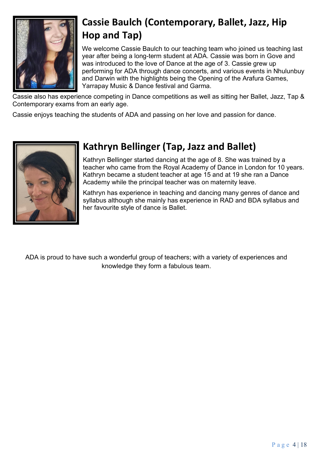

### **Cassie Baulch (Contemporary, Ballet, Jazz, Hip Hop and Tap)**

We welcome Cassie Baulch to our teaching team who joined us teaching last year after being a long-term student at ADA. Cassie was born in Gove and was introduced to the love of Dance at the age of 3. Cassie grew up performing for ADA through dance concerts, and various events in Nhulunbuy and Darwin with the highlights being the Opening of the Arafura Games, Yarrapay Music & Dance festival and Garma.

Cassie also has experience competing in Dance competitions as well as sitting her Ballet, Jazz, Tap & Contemporary exams from an early age.

Cassie enjoys teaching the students of ADA and passing on her love and passion for dance.



### **Kathryn Bellinger (Tap, Jazz and Ballet)**

Kathryn Bellinger started dancing at the age of 8. She was trained by a teacher who came from the Royal Academy of Dance in London for 10 years. Kathryn became a student teacher at age 15 and at 19 she ran a Dance Academy while the principal teacher was on maternity leave.

Kathryn has experience in teaching and dancing many genres of dance and syllabus although she mainly has experience in RAD and BDA syllabus and her favourite style of dance is Ballet.

ADA is proud to have such a wonderful group of teachers; with a variety of experiences and knowledge they form a fabulous team.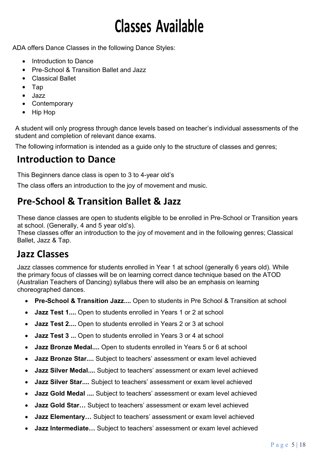## **Classes Available**

ADA offers Dance Classes in the following Dance Styles:

- Introduction to Dance
- Pre-School & Transition Ballet and Jazz
- Classical Ballet
- Tap
- Jazz
- Contemporary
- Hip Hop

A student will only progress through dance levels based on teacher's individual assessments of the student and completion of relevant dance exams.

The following information is intended as a guide only to the structure of classes and genres;

### **Introduction to Dance**

This Beginners dance class is open to 3 to 4-year old's

The class offers an introduction to the joy of movement and music.

### **Pre-School & Transition Ballet & Jazz**

These dance classes are open to students eligible to be enrolled in Pre-School or Transition years at school. (Generally, 4 and 5 year old's).

These classes offer an introduction to the joy of movement and in the following genres; Classical Ballet, Jazz & Tap.

#### **Jazz Classes**

Jazz classes commence for students enrolled in Year 1 at school (generally 6 years old). While the primary focus of classes will be on learning correct dance technique based on the ATOD (Australian Teachers of Dancing) syllabus there will also be an emphasis on learning choreographed dances.

- **Pre-School & Transition Jazz....** Open to students in Pre School & Transition at school
- **Jazz Test 1....** Open to students enrolled in Years 1 or 2 at school
- **Jazz Test 2....** Open to students enrolled in Years 2 or 3 at school
- **Jazz Test 3 ...** Open to students enrolled in Years 3 or 4 at school
- **Jazz Bronze Medal....** Open to students enrolled in Years 5 or 6 at school
- **Jazz Bronze Star....** Subject to teachers' assessment or exam level achieved
- **Jazz Silver Medal....** Subject to teachers' assessment or exam level achieved
- **Jazz Silver Star....** Subject to teachers' assessment or exam level achieved
- **Jazz Gold Medal ....** Subject to teachers' assessment or exam level achieved
- **Jazz Gold Star…** Subject to teachers' assessment or exam level achieved
- **Jazz Elementary…** Subject to teachers' assessment or exam level achieved
- **Jazz Intermediate…** Subject to teachers' assessment or exam level achieved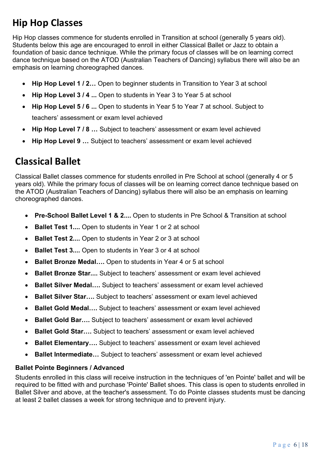### **Hip Hop Classes**

Hip Hop classes commence for students enrolled in Transition at school (generally 5 years old). Students below this age are encouraged to enroll in either Classical Ballet or Jazz to obtain a foundation of basic dance technique. While the primary focus of classes will be on learning correct dance technique based on the ATOD (Australian Teachers of Dancing) syllabus there will also be an emphasis on learning choreographed dances.

- **Hip Hop Level 1 / 2…** Open to beginner students in Transition to Year 3 at school
- **Hip Hop Level 3 / 4 ...** Open to students in Year 3 to Year 5 at school
- **Hip Hop Level 5 / 6 ...** Open to students in Year 5 to Year 7 at school. Subject to teachers' assessment or exam level achieved
- **Hip Hop Level 7 / 8 …** Subject to teachers' assessment or exam level achieved
- **Hip Hop Level 9 …** Subject to teachers' assessment or exam level achieved

### **Classical Ballet**

Classical Ballet classes commence for students enrolled in Pre School at school (generally 4 or 5 years old). While the primary focus of classes will be on learning correct dance technique based on the ATOD (Australian Teachers of Dancing) syllabus there will also be an emphasis on learning choreographed dances.

- **Pre-School Ballet Level 1 & 2....** Open to students in Pre School & Transition at school
- **Ballet Test 1....** Open to students in Year 1 or 2 at school
- **Ballet Test 2....** Open to students in Year 2 or 3 at school
- **Ballet Test 3....** Open to students in Year 3 or 4 at school
- **Ballet Bronze Medal….** Open to students in Year 4 or 5 at school
- **Ballet Bronze Star....** Subject to teachers' assessment or exam level achieved
- **Ballet Silver Medal….** Subject to teachers' assessment or exam level achieved
- **Ballet Silver Star….** Subject to teachers' assessment or exam level achieved
- **Ballet Gold Medal….** Subject to teachers' assessment or exam level achieved
- **Ballet Gold Bar….** Subject to teachers' assessment or exam level achieved
- **Ballet Gold Star….** Subject to teachers' assessment or exam level achieved
- **Ballet Elementary….** Subject to teachers' assessment or exam level achieved
- **Ballet Intermediate…** Subject to teachers' assessment or exam level achieved

#### **Ballet Pointe Beginners / Advanced**

Students enrolled in this class will receive instruction in the techniques of 'en Pointe' ballet and will be required to be fitted with and purchase 'Pointe' Ballet shoes. This class is open to students enrolled in Ballet Silver and above, at the teacher's assessment. To do Pointe classes students must be dancing at least 2 ballet classes a week for strong technique and to prevent injury.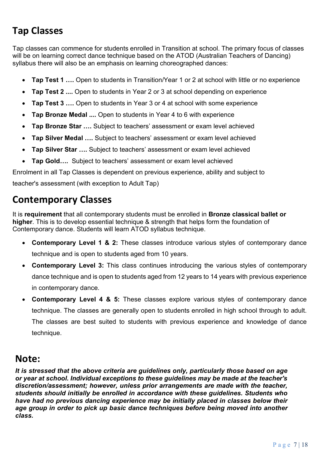### **Tap Classes**

Tap classes can commence for students enrolled in Transition at school. The primary focus of classes will be on learning correct dance technique based on the ATOD (Australian Teachers of Dancing) syllabus there will also be an emphasis on learning choreographed dances:

- **Tap Test 1 ….** Open to students in Transition/Year 1 or 2 at school with little or no experience
- **Tap Test 2 ....** Open to students in Year 2 or 3 at school depending on experience
- **Tap Test 3 ….** Open to students in Year 3 or 4 at school with some experience
- **Tap Bronze Medal ....** Open to students in Year 4 to 6 with experience
- **Tap Bronze Star ….** Subject to teachers' assessment or exam level achieved
- **Tap Silver Medal ….** Subject to teachers' assessment or exam level achieved
- **Tap Silver Star ….** Subject to teachers' assessment or exam level achieved
- **Tap Gold….** Subject to teachers' assessment or exam level achieved

Enrolment in all Tap Classes is dependent on previous experience, ability and subject to teacher's assessment (with exception to Adult Tap)

#### **Contemporary Classes**

It is **requirement** that all contemporary students must be enrolled in **Bronze classical ballet or higher**. This is to develop essential technique & strength that helps form the foundation of Contemporary dance. Students will learn ATOD syllabus technique.

- **Contemporary Level 1 & 2:** These classes introduce various styles of contemporary dance technique and is open to students aged from 10 years.
- **Contemporary Level 3:** This class continues introducing the various styles of contemporary dance technique and is open to students aged from 12 years to 14 years with previous experience in contemporary dance.
- **Contemporary Level 4 & 5:** These classes explore various styles of contemporary dance technique. The classes are generally open to students enrolled in high school through to adult. The classes are best suited to students with previous experience and knowledge of dance technique.

#### **Note:**

*It is stressed that the above criteria are guidelines only, particularly those based on age or year at school. Individual exceptions to these guidelines may be made at the teacher's discretion/assessment; however, unless prior arrangements are made with the teacher, students should initially be enrolled in accordance with these guidelines. Students who have had no previous dancing experience may be initially placed in classes below their age group in order to pick up basic dance techniques before being moved into another class.*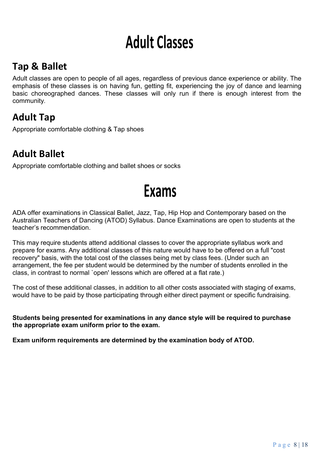## **Adult Classes**

### **Tap & Ballet**

Adult classes are open to people of all ages, regardless of previous dance experience or ability. The emphasis of these classes is on having fun, getting fit, experiencing the joy of dance and learning basic choreographed dances. These classes will only run if there is enough interest from the community.

### **Adult Tap**

Appropriate comfortable clothing & Tap shoes

### **Adult Ballet**

Appropriate comfortable clothing and ballet shoes or socks

### **Exams**

ADA offer examinations in Classical Ballet, Jazz, Tap, Hip Hop and Contemporary based on the Australian Teachers of Dancing (ATOD) Syllabus. Dance Examinations are open to students at the teacher's recommendation.

This may require students attend additional classes to cover the appropriate syllabus work and prepare for exams. Any additional classes of this nature would have to be offered on a full "cost recovery" basis, with the total cost of the classes being met by class fees. (Under such an arrangement, the fee per student would be determined by the number of students enrolled in the class, in contrast to normal `open' lessons which are offered at a flat rate.)

The cost of these additional classes, in addition to all other costs associated with staging of exams, would have to be paid by those participating through either direct payment or specific fundraising.

**Students being presented for examinations in any dance style will be required to purchase the appropriate exam uniform prior to the exam.**

**Exam uniform requirements are determined by the examination body of ATOD.**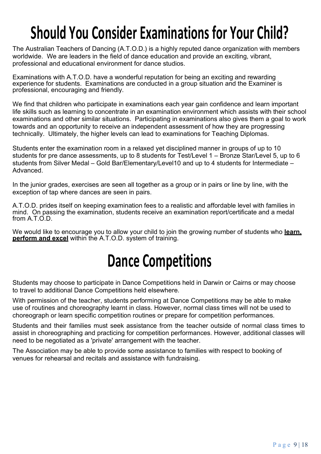## **Should You Consider Examinations for Your Child?**

The Australian Teachers of Dancing (A.T.O.D.) is a highly reputed dance organization with members worldwide. We are leaders in the field of dance education and provide an exciting, vibrant, professional and educational environment for dance studios.

Examinations with A.T.O.D. have a wonderful reputation for being an exciting and rewarding experience for students. Examinations are conducted in a group situation and the Examiner is professional, encouraging and friendly.

We find that children who participate in examinations each year gain confidence and learn important life skills such as learning to concentrate in an examination environment which assists with their school examinations and other similar situations. Participating in examinations also gives them a goal to work towards and an opportunity to receive an independent assessment of how they are progressing technically. Ultimately, the higher levels can lead to examinations for Teaching Diplomas.

Students enter the examination room in a relaxed yet disciplined manner in groups of up to 10 students for pre dance assessments, up to 8 students for Test/Level 1 – Bronze Star/Level 5, up to 6 students from Silver Medal – Gold Bar/Elementary/Level10 and up to 4 students for Intermediate – Advanced.

In the junior grades, exercises are seen all together as a group or in pairs or line by line, with the exception of tap where dances are seen in pairs.

A.T.O.D. prides itself on keeping examination fees to a realistic and affordable level with families in mind. On passing the examination, students receive an examination report/certificate and a medal from A.T.O.D.

We would like to encourage you to allow your child to join the growing number of students who **learn, perform and excel** within the A.T.O.D. system of training.

### **Dance Competitions**

Students may choose to participate in Dance Competitions held in Darwin or Cairns or may choose to travel to additional Dance Competitions held elsewhere.

With permission of the teacher, students performing at Dance Competitions may be able to make use of routines and choreography learnt in class. However, normal class times will not be used to choreograph or learn specific competition routines or prepare for competition performances.

Students and their families must seek assistance from the teacher outside of normal class times to assist in choreographing and practicing for competition performances. However, additional classes will need to be negotiated as a 'private' arrangement with the teacher.

The Association may be able to provide some assistance to families with respect to booking of venues for rehearsal and recitals and assistance with fundraising.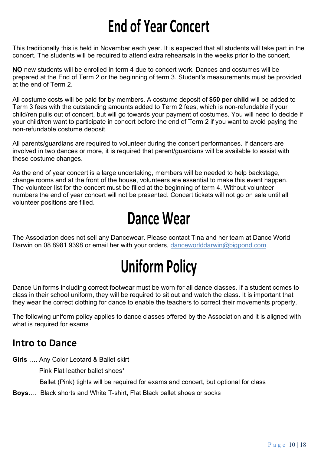## **End of Year Concert**

This traditionally this is held in November each year. It is expected that all students will take part in the concert. The students will be required to attend extra rehearsals in the weeks prior to the concert.

**NO** new students will be enrolled in term 4 due to concert work. Dances and costumes will be prepared at the End of Term 2 or the beginning of term 3. Student's measurements must be provided at the end of Term 2.

All costume costs will be paid for by members. A costume deposit of **\$50 per child** will be added to Term 3 fees with the outstanding amounts added to Term 2 fees, which is non-refundable if your child/ren pulls out of concert, but will go towards your payment of costumes. You will need to decide if your child/ren want to participate in concert before the end of Term 2 if you want to avoid paying the non-refundable costume deposit.

All parents/guardians are required to volunteer during the concert performances. If dancers are involved in two dances or more, it is required that parent/guardians will be available to assist with these costume changes.

As the end of year concert is a large undertaking, members will be needed to help backstage, change rooms and at the front of the house, volunteers are essential to make this event happen. The volunteer list for the concert must be filled at the beginning of term 4. Without volunteer numbers the end of year concert will not be presented. Concert tickets will not go on sale until all volunteer positions are filled.

### **Dance Wear**

The Association does not sell any Dancewear. Please contact Tina and her team at Dance World Darwin on 08 8981 9398 or email her with your orders, danceworlddarwin@bigpond.com

## **Uniform Policy**

Dance Uniforms including correct footwear must be worn for all dance classes. If a student comes to class in their school uniform, they will be required to sit out and watch the class. It is important that they wear the correct clothing for dance to enable the teachers to correct their movements properly.

The following uniform policy applies to dance classes offered by the Association and it is aligned with what is required for exams

#### **Intro to Dance**

**Girls** …. Any Color Leotard & Ballet skirt

Pink Flat leather ballet shoes\*

Ballet (Pink) tights will be required for exams and concert, but optional for class

**Boys**…. Black shorts and White T-shirt, Flat Black ballet shoes or socks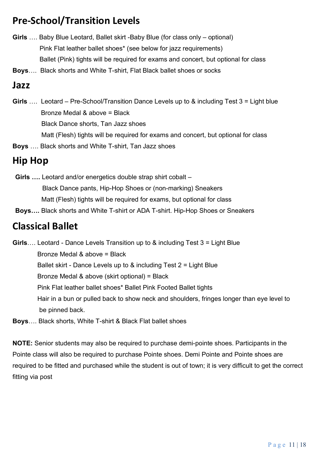### **Pre-School/Transition Levels**

- **Girls** …. Baby Blue Leotard, Ballet skirt -Baby Blue (for class only optional) Pink Flat leather ballet shoes\* (see below for jazz requirements) Ballet (Pink) tights will be required for exams and concert, but optional for class
- **Boys**…. Black shorts and White T-shirt, Flat Black ballet shoes or socks

#### **Jazz**

- **Girls** …. Leotard Pre-School/Transition Dance Levels up to & including Test 3 = Light blue Bronze Medal & above = Black Black Dance shorts, Tan Jazz shoes Matt (Flesh) tights will be required for exams and concert, but optional for class
- **Boys** …. Black shorts and White T-shirt, Tan Jazz shoes

### **Hip Hop**

**Girls ….** Leotard and/or energetics double strap shirt cobalt – Black Dance pants, Hip-Hop Shoes or (non-marking) Sneakers Matt (Flesh) tights will be required for exams, but optional for class

**Boys….** Black shorts and White T-shirt or ADA T-shirt. Hip-Hop Shoes or Sneakers

### **Classical Ballet**

**Girls**…. Leotard - Dance Levels Transition up to & including Test 3 = Light Blue Bronze Medal & above = Black Ballet skirt - Dance Levels up to & including Test 2 = Light Blue Bronze Medal & above (skirt optional) = Black Pink Flat leather ballet shoes\* Ballet Pink Footed Ballet tights Hair in a bun or pulled back to show neck and shoulders, fringes longer than eye level to be pinned back.

**Boys**…. Black shorts, White T-shirt & Black Flat ballet shoes

**NOTE:** Senior students may also be required to purchase demi-pointe shoes. Participants in the Pointe class will also be required to purchase Pointe shoes. Demi Pointe and Pointe shoes are required to be fitted and purchased while the student is out of town; it is very difficult to get the correct fitting via post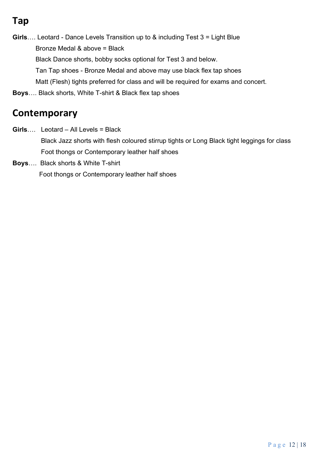### **Tap**

- **Girls**…. Leotard Dance Levels Transition up to & including Test 3 = Light Blue Bronze Medal & above = Black Black Dance shorts, bobby socks optional for Test 3 and below. Tan Tap shoes - Bronze Medal and above may use black flex tap shoes Matt (Flesh) tights preferred for class and will be required for exams and concert.
- **Boys**…. Black shorts, White T-shirt & Black flex tap shoes

### **Contemporary**

- **Girls**…. Leotard All Levels = Black Black Jazz shorts with flesh coloured stirrup tights or Long Black tight leggings for class Foot thongs or Contemporary leather half shoes
- **Boys**…. Black shorts & White T-shirt Foot thongs or Contemporary leather half shoes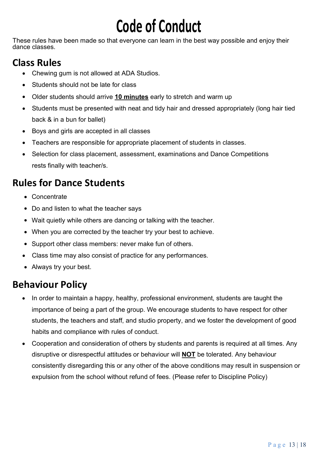# **Code of Conduct**

These rules have been made so that everyone can learn in the best way possible and enjoy their dance classes.

### **Class Rules**

- Chewing gum is not allowed at ADA Studios.
- Students should not be late for class
- Older students should arrive **10 minutes** early to stretch and warm up
- Students must be presented with neat and tidy hair and dressed appropriately (long hair tied back & in a bun for ballet)
- Boys and girls are accepted in all classes
- Teachers are responsible for appropriate placement of students in classes.
- Selection for class placement, assessment, examinations and Dance Competitions rests finally with teacher/s.

### **Rules for Dance Students**

- Concentrate
- Do and listen to what the teacher says
- Wait quietly while others are dancing or talking with the teacher.
- When you are corrected by the teacher try your best to achieve.
- Support other class members: never make fun of others.
- Class time may also consist of practice for any performances.
- Always try your best.

### **Behaviour Policy**

- In order to maintain a happy, healthy, professional environment, students are taught the importance of being a part of the group. We encourage students to have respect for other students, the teachers and staff, and studio property, and we foster the development of good habits and compliance with rules of conduct.
- Cooperation and consideration of others by students and parents is required at all times. Any disruptive or disrespectful attitudes or behaviour will **NOT** be tolerated. Any behaviour consistently disregarding this or any other of the above conditions may result in suspension or expulsion from the school without refund of fees. (Please refer to Discipline Policy)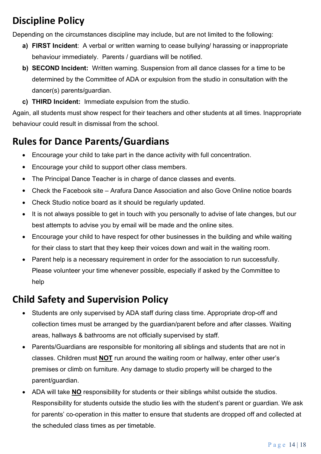### **Discipline Policy**

Depending on the circumstances discipline may include, but are not limited to the following:

- **a) FIRST Incident**: A verbal or written warning to cease bullying/ harassing or inappropriate behaviour immediately. Parents / guardians will be notified.
- **b) SECOND Incident:** Written warning. Suspension from all dance classes for a time to be determined by the Committee of ADA or expulsion from the studio in consultation with the dancer(s) parents/guardian.
- **c) THIRD Incident:** Immediate expulsion from the studio.

Again, all students must show respect for their teachers and other students at all times. Inappropriate behaviour could result in dismissal from the school.

### **Rules for Dance Parents/Guardians**

- Encourage your child to take part in the dance activity with full concentration.
- Encourage your child to support other class members.
- The Principal Dance Teacher is in charge of dance classes and events.
- Check the Facebook site Arafura Dance Association and also Gove Online notice boards
- Check Studio notice board as it should be regularly updated.
- It is not always possible to get in touch with you personally to advise of late changes, but our best attempts to advise you by email will be made and the online sites.
- Encourage your child to have respect for other businesses in the building and while waiting for their class to start that they keep their voices down and wait in the waiting room.
- Parent help is a necessary requirement in order for the association to run successfully. Please volunteer your time whenever possible, especially if asked by the Committee to help

### **Child Safety and Supervision Policy**

- Students are only supervised by ADA staff during class time. Appropriate drop-off and collection times must be arranged by the guardian/parent before and after classes. Waiting areas, hallways & bathrooms are not officially supervised by staff.
- Parents/Guardians are responsible for monitoring all siblings and students that are not in classes. Children must **NOT** run around the waiting room or hallway, enter other user's premises or climb on furniture. Any damage to studio property will be charged to the parent/guardian.
- ADA will take **NO** responsibility for students or their siblings whilst outside the studios. Responsibility for students outside the studio lies with the student's parent or guardian. We ask for parents' co-operation in this matter to ensure that students are dropped off and collected at the scheduled class times as per timetable.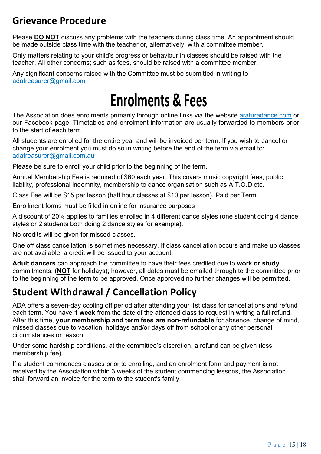### **Grievance Procedure**

Please **DO NOT** discuss any problems with the teachers during class time. An appointment should be made outside class time with the teacher or, alternatively, with a committee member.

Only matters relating to your child's progress or behaviour in classes should be raised with the teacher. All other concerns; such as fees, should be raised with a committee member.

Any significant concerns raised with the Committee must be submitted in writing to adatreasurer@gmail.com

### **Enrolments & Fees**

The Association does enrolments primarily through online links via the website arafuradance.com or our Facebook page. Timetables and enrolment information are usually forwarded to members prior to the start of each term.

All students are enrolled for the entire year and will be invoiced per term. If you wish to cancel or change your enrolment you must do so in writing before the end of the term via email to: adatreasurer@gmail.com.au

Please be sure to enroll your child prior to the beginning of the term.

Annual Membership Fee is required of \$60 each year. This covers music copyright fees, public liability, professional indemnity, membership to dance organisation such as A.T.O.D etc.

Class Fee will be \$15 per lesson (half hour classes at \$10 per lesson). Paid per Term.

Enrollment forms must be filled in online for insurance purposes

A discount of 20% applies to families enrolled in 4 different dance styles (one student doing 4 dance styles or 2 students both doing 2 dance styles for example).

No credits will be given for missed classes.

One off class cancellation is sometimes necessary. If class cancellation occurs and make up classes are not available, a credit will be issued to your account.

**Adult dancers** can approach the committee to have their fees credited due to **work or study** commitments, (**NOT** for holidays); however, all dates must be emailed through to the committee prior to the beginning of the term to be approved. Once approved no further changes will be permitted.

### **Student Withdrawal / Cancellation Policy**

ADA offers a seven-day cooling off period after attending your 1st class for cancellations and refund each term. You have **1 week** from the date of the attended class to request in writing a full refund. After this time, **your membership and term fees are non-refundable** for absence, change of mind, missed classes due to vacation, holidays and/or days off from school or any other personal circumstances or reason.

Under some hardship conditions, at the committee's discretion, a refund can be given (less membership fee).

If a student commences classes prior to enrolling, and an enrolment form and payment is not received by the Association within 3 weeks of the student commencing lessons, the Association shall forward an invoice for the term to the student's family.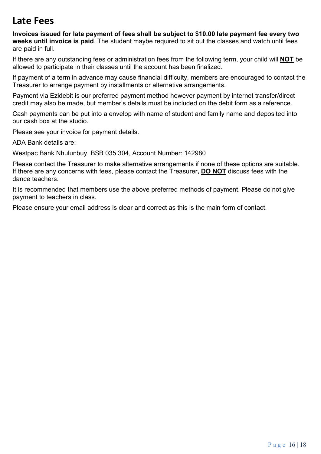#### **Late Fees**

**Invoices issued for late payment of fees shall be subject to \$10.00 late payment fee every two weeks until invoice is paid**. The student maybe required to sit out the classes and watch until fees are paid in full.

If there are any outstanding fees or administration fees from the following term, your child will **NOT** be allowed to participate in their classes until the account has been finalized.

If payment of a term in advance may cause financial difficulty, members are encouraged to contact the Treasurer to arrange payment by installments or alternative arrangements.

Payment via Ezidebit is our preferred payment method however payment by internet transfer/direct credit may also be made, but member's details must be included on the debit form as a reference.

Cash payments can be put into a envelop with name of student and family name and deposited into our cash box at the studio.

Please see your invoice for payment details.

ADA Bank details are:

Westpac Bank Nhulunbuy, BSB 035 304, Account Number: 142980

Please contact the Treasurer to make alternative arrangements if none of these options are suitable. If there are any concerns with fees, please contact the Treasurer**, DO NOT** discuss fees with the dance teachers.

It is recommended that members use the above preferred methods of payment. Please do not give payment to teachers in class.

Please ensure your email address is clear and correct as this is the main form of contact.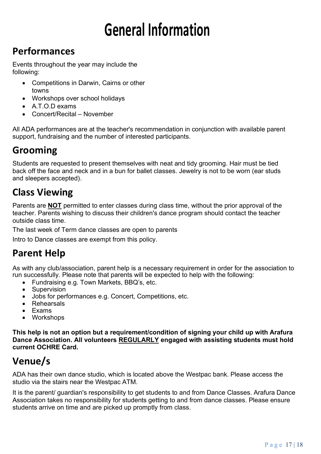# **General Information**

### **Performances**

Events throughout the year may include the following:

- Competitions in Darwin, Cairns or other towns
- Workshops over school holidays
- A.T.O.D exams
- Concert/Recital November

All ADA performances are at the teacher's recommendation in conjunction with available parent support, fundraising and the number of interested participants.

### **Grooming**

Students are requested to present themselves with neat and tidy grooming. Hair must be tied back off the face and neck and in a bun for ballet classes. Jewelry is not to be worn (ear studs and sleepers accepted).

### **Class Viewing**

Parents are **NOT** permitted to enter classes during class time, without the prior approval of the teacher. Parents wishing to discuss their children's dance program should contact the teacher outside class time.

The last week of Term dance classes are open to parents

Intro to Dance classes are exempt from this policy.

### **Parent Help**

As with any club/association, parent help is a necessary requirement in order for the association to run successfully. Please note that parents will be expected to help with the following:

- Fundraising e.g. Town Markets, BBQ's, etc.
- Supervision
- Jobs for performances e.g. Concert, Competitions, etc.
- Rehearsals
- Exams
- Workshops

**This help is not an option but a requirement/condition of signing your child up with Arafura Dance Association. All volunteers REGULARLY engaged with assisting students must hold current OCHRE Card.**

### **Venue/s**

ADA has their own dance studio, which is located above the Westpac bank. Please access the studio via the stairs near the Westpac ATM.

It is the parent/ guardian's responsibility to get students to and from Dance Classes. Arafura Dance Association takes no responsibility for students getting to and from dance classes. Please ensure students arrive on time and are picked up promptly from class.